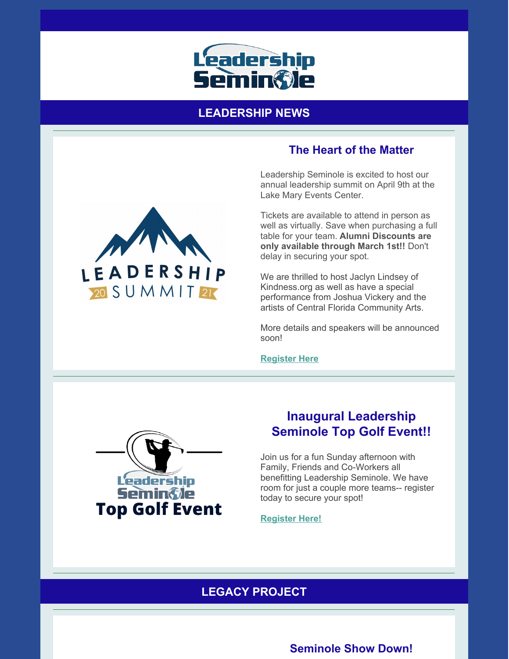

## **LEADERSHIP NEWS**

# **The Heart of the Matter**

Leadership Seminole is excited to host our annual leadership summit on April 9th at the Lake Mary Events Center.

Tickets are available to attend in person as well as virtually. Save when purchasing a full table for your team. **Alumni Discounts are only available through March 1st!!** Don't delay in securing your spot.

We are thrilled to host Jaclyn Lindsey of Kindness.org as well as have a special performance from Joshua Vickery and the artists of Central Florida Community Arts.

More details and speakers will be announced soon!

**[Register](https://leadershipseminole.org/event/summit/) Here**



# **Inaugural Leadership Seminole Top Golf Event!!**

Join us for a fun Sunday afternoon with Family, Friends and Co-Workers all benefitting Leadership Seminole. We have room for just a couple more teams-- register today to secure your spot!

#### **[Register](https://leadershipseminole.org/event/top-golf/) Here!**

## **LEGACY PROJECT**

### **Seminole Show Down!**

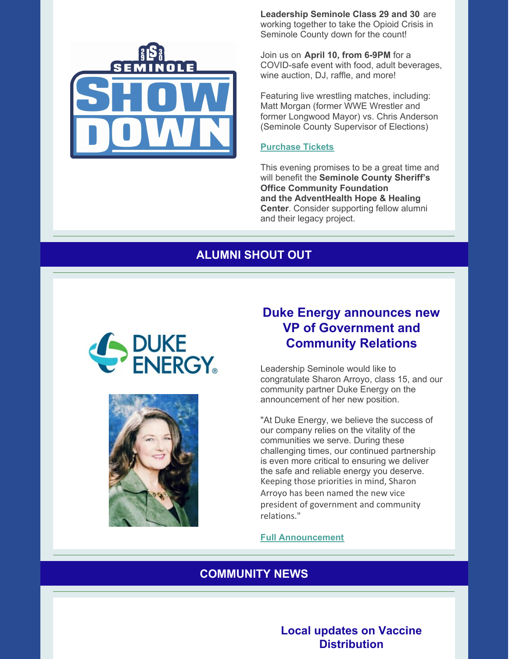

**Leadership Seminole Class 29 and 30** are working together to take the Opioid Crisis in Seminole County down for the count!

Join us on **April 10, from 6-9PM** for a COVID-safe event with food, adult beverages, wine auction, DJ, raffle, and more!

Featuring live wrestling matches, including: Matt Morgan (former WWE Wrestler and former Longwood Mayor) vs. Chris Anderson (Seminole County Supervisor of Elections)

#### **[Purchase](https://www.givesignup.org/TicketEvent/SeminoleShowDown) Tickets**

This evening promises to be a great time and will benefit the **Seminole County Sheriff's Office Community Foundation and the AdventHealth Hope & Healing Center**. Consider supporting fellow alumni and their legacy project.

### **ALUMNI SHOUT OUT**





# **Duke Energy announces new VP of Government and Community Relations**

Leadership Seminole would like to congratulate Sharon Arroyo, class 15, and our community partner Duke Energy on the announcement of her new position.

"At Duke Energy, we believe the success of our company relies on the vitality of the communities we serve. During these challenging times, our continued partnership is even more critical to ensuring we deliver the safe and reliable energy you deserve. Keeping those priorities in mind, Sharon Arroyo has been named the new vice president of government and community relations."

**Full [Announcement](https://www.duke-energy.com/_/media/pdfs/external/def-arroyo-announcement-news-release.pdf)**

#### **COMMUNITY NEWS**

**Local updates on Vaccine Distribution**